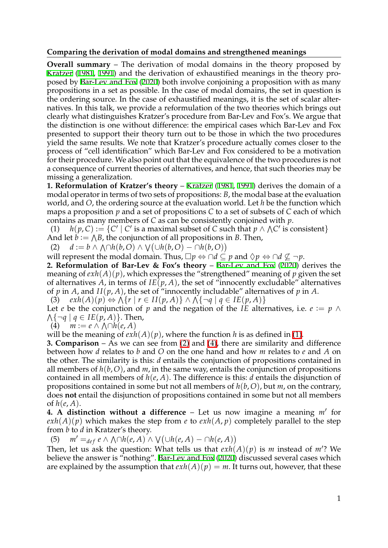## **Comparing the derivation of modal domains and strengthened meanings**

<span id="page-0-8"></span><span id="page-0-7"></span><span id="page-0-6"></span><span id="page-0-2"></span><span id="page-0-1"></span><span id="page-0-0"></span>**Overall summary** – The derivation of modal domains in the theory proposed by [Kratzer](#page-0-0) ([1981,](#page-0-0) [1991\)](#page-0-1) and the derivation of exhaustified meanings in the theory proposed by [Bar-Lev and Fox](#page-0-2) ([2020\)](#page-0-2) both involve conjoining a proposition with as many propositions in a set as possible. In the case of modal domains, the set in question is the ordering source. In the case of exhaustified meanings, it is the set of scalar alternatives. In this talk, we provide a reformulation of the two theories which brings out clearly what distinguishes Kratzer's procedure from Bar-Lev and Fox's. We argue that the distinction is one without difference: the empirical cases which Bar-Lev and Fox presented to support their theory turn out to be those in which the two procedures yield the same results. We note that Kratzer's procedure actually comes closer to the process of "cell identification" which Bar-Lev and Fox considered to be a motivation for their procedure. We also point out that the equivalence of the two procedures is not a consequence of current theories of alternatives, and hence, that such theories may be missing a generalization.

**1. Reformulation of [Kratzer](#page-0-0)'s theory – Kratzer ([1981,](#page-0-0) [1991](#page-0-1))** derives the domain of a modal operator in terms of two sets of propositions: *B*, the modal base at the evaluation world, and *O*, the ordering source at the evaluation world. Let *h* be the function which maps a proposition *p* and a set of propositions *C* to a set of subsets of *C* each of which contains as many members of *C* as can be consistently conjoined with *p*.

<span id="page-0-3"></span>(1)  $h(p, C) := \{C' \mid C' \text{ is a maximal subset of } C \text{ such that } p \wedge \bigwedge C' \text{ is consistent}\}$ And let  $\ddot{b} := \bigwedge B$ , the conjunction of all propositions in *B*. Then,

<span id="page-0-4"></span>And let 
$$
v = f(b)
$$
, the conjunction of an propositions in *b*. 1.  
(2)  $d := b \land f(h(b, O) \land f(h(b, O) - h(h(b, O))$ 

will represent the modal domain. Thus,  $\Box p \Leftrightarrow \cap d \subseteq p$  and  $\Diamond p \Leftrightarrow \cap d \subseteq \neg p$ .

**2. Reformulation of Bar-Lev & Fox's theory** – [Bar-Lev and Fox](#page-0-2) ([2020\)](#page-0-2) derives the meaning of  $exh(A)(p)$ , which expresses the "strengthened" meaning of p given the set of alternatives A, in terms of  $IE(p, A)$ , the set of "innocently excludable" alternatives of *p* in *A*, and *II*( $p$ , *A*), the set of "innocently includable" alternatives of  $p$  in *A*.

(3)  $exh(A)(p) \Leftrightarrow \bigwedge \{r \mid r \in H(p, A)\} \wedge \bigwedge \{\neg q \mid q \in IE(p, A)\}\$ 

Let *e* be the conjunction of *p* and the negation of the *IE* alternatives, i.e.  $e := p \land$  $\Lambda$ { $\neg q \mid q \in IE(p, A)$ }. Then,

<span id="page-0-5"></span>
$$
(4) \quad m := e \land \land \cap h(e, A)
$$

will be the meaning of  $exh(A)(p)$ , where the function  $h$  is as defined in  $\boxed{1}$ .

**3. Comparison** – As we can see from  $\boxed{2}$  and  $\boxed{4}$ , there are similarity and difference between how *d* relates to *b* and *O* on the one hand and how *m* relates to *e* and *A* on the other. The similarity is this: *d* entails the conjunction of propositions contained in all members of  $h(b, O)$ , and  $m$ , in the same way, entails the conjunction of propositions contained in all members of *h*(*e*, *A*). The difference is this: *d* entails the disjunction of propositions contained in some but not all members of *h*(*b*,*O*), but *m*, on the contrary, does **not** entail the disjunction of propositions contained in some but not all members of  $h(e, A)$ .

**4. A distinction without a difference** – Let us now imagine a meaning *m*′ for  $exh(A)(p)$  which makes the step from *e* to  $exh(A, p)$  completely parallel to the step from *b* to *d* in Kratzer's theory.

(5)  $m' =_{def} e \land \bigwedge \cap h(e, A) \land \bigvee (\cup h(e, A) - \cap h(e, A))$ 

Then, let us ask the question: What tells us that  $exh(A)(p)$  is m instead of m'? We believe the answer is "nothing". [Bar-Lev and Fox](#page-0-2) ([2020\)](#page-0-2) discussed several cases which are explained by the assumption that  $exh(A)(p) = m$ . It turns out, however, that these